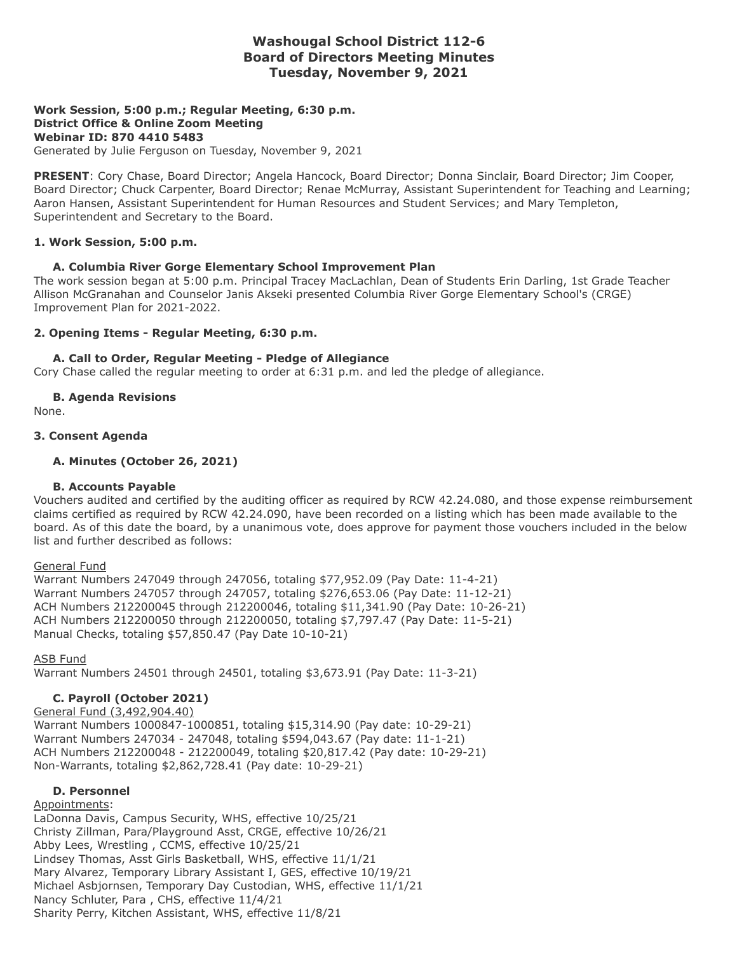# **Washougal School District 112-6 Board of Directors Meeting Minutes Tuesday, November 9, 2021**

## **Work Session, 5:00 p.m.; Regular Meeting, 6:30 p.m. District Office & Online Zoom Meeting Webinar ID: 870 4410 5483**

Generated by Julie Ferguson on Tuesday, November 9, 2021

**PRESENT**: Cory Chase, Board Director; Angela Hancock, Board Director; Donna Sinclair, Board Director; Jim Cooper, Board Director; Chuck Carpenter, Board Director; Renae McMurray, Assistant Superintendent for Teaching and Learning; Aaron Hansen, Assistant Superintendent for Human Resources and Student Services; and Mary Templeton, Superintendent and Secretary to the Board.

#### **1. Work Session, 5:00 p.m.**

#### **A. Columbia River Gorge Elementary School Improvement Plan**

The work session began at 5:00 p.m. Principal Tracey MacLachlan, Dean of Students Erin Darling, 1st Grade Teacher Allison McGranahan and Counselor Janis Akseki presented Columbia River Gorge Elementary School's (CRGE) Improvement Plan for 2021-2022.

#### **2. Opening Items - Regular Meeting, 6:30 p.m.**

#### **A. Call to Order, Regular Meeting - Pledge of Allegiance**

Cory Chase called the regular meeting to order at 6:31 p.m. and led the pledge of allegiance.

#### **B. Agenda Revisions**

None.

#### **3. Consent Agenda**

#### **A. Minutes (October 26, 2021)**

## **B. Accounts Payable**

Vouchers audited and certified by the auditing officer as required by RCW 42.24.080, and those expense reimbursement claims certified as required by RCW 42.24.090, have been recorded on a listing which has been made available to the board. As of this date the board, by a unanimous vote, does approve for payment those vouchers included in the below list and further described as follows:

#### General Fund

Warrant Numbers 247049 through 247056, totaling \$77,952.09 (Pay Date: 11-4-21) Warrant Numbers 247057 through 247057, totaling \$276,653.06 (Pay Date: 11-12-21) ACH Numbers 212200045 through 212200046, totaling \$11,341.90 (Pay Date: 10-26-21) ACH Numbers 212200050 through 212200050, totaling \$7,797.47 (Pay Date: 11-5-21) Manual Checks, totaling \$57,850.47 (Pay Date 10-10-21)

#### ASB Fund

Warrant Numbers 24501 through 24501, totaling \$3,673.91 (Pay Date: 11-3-21)

## **C. Payroll (October 2021)**

#### General Fund (3,492,904.40)

Warrant Numbers 1000847-1000851, totaling \$15,314.90 (Pay date: 10-29-21) Warrant Numbers 247034 - 247048, totaling \$594,043.67 (Pay date: 11-1-21) ACH Numbers 212200048 - 212200049, totaling \$20,817.42 (Pay date: 10-29-21) Non-Warrants, totaling \$2,862,728.41 (Pay date: 10-29-21)

## **D. Personnel**

# Appointments:

LaDonna Davis, Campus Security, WHS, effective 10/25/21 Christy Zillman, Para/Playground Asst, CRGE, effective 10/26/21 Abby Lees, Wrestling , CCMS, effective 10/25/21 Lindsey Thomas, Asst Girls Basketball, WHS, effective 11/1/21 Mary Alvarez, Temporary Library Assistant I, GES, effective 10/19/21 Michael Asbjornsen, Temporary Day Custodian, WHS, effective 11/1/21 Nancy Schluter, Para , CHS, effective 11/4/21 Sharity Perry, Kitchen Assistant, WHS, effective 11/8/21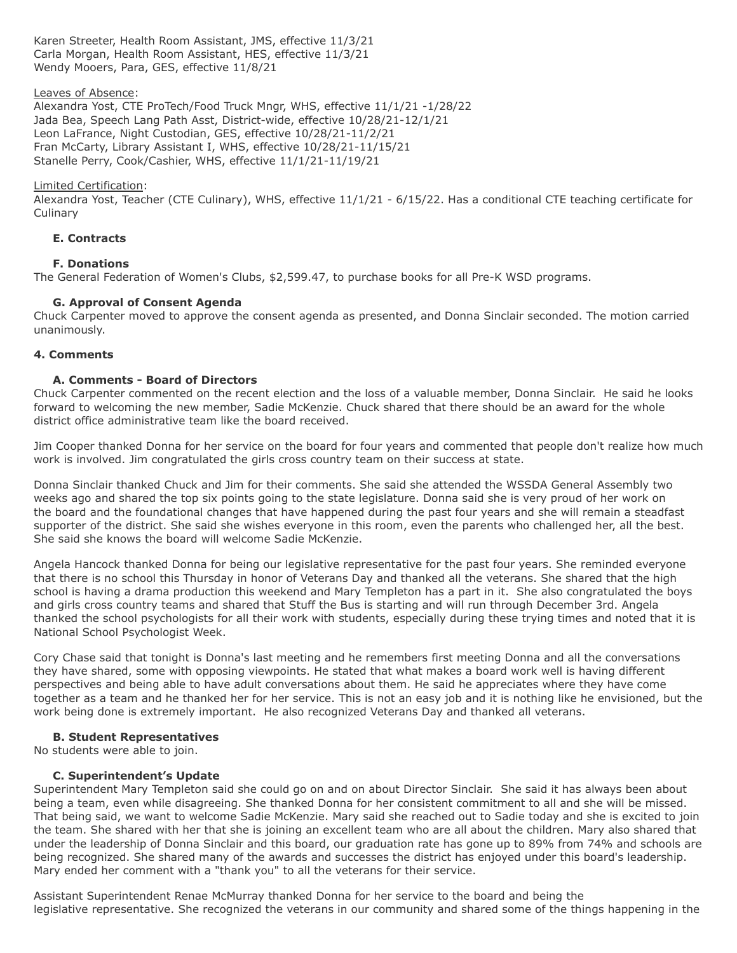Karen Streeter, Health Room Assistant, JMS, effective 11/3/21 Carla Morgan, Health Room Assistant, HES, effective 11/3/21 Wendy Mooers, Para, GES, effective 11/8/21

## Leaves of Absence:

Alexandra Yost, CTE ProTech/Food Truck Mngr, WHS, effective 11/1/21 -1/28/22 Jada Bea, Speech Lang Path Asst, District-wide, effective 10/28/21-12/1/21 Leon LaFrance, Night Custodian, GES, effective 10/28/21-11/2/21 Fran McCarty, Library Assistant I, WHS, effective 10/28/21-11/15/21 Stanelle Perry, Cook/Cashier, WHS, effective 11/1/21-11/19/21

## Limited Certification:

Alexandra Yost, Teacher (CTE Culinary), WHS, effective 11/1/21 - 6/15/22. Has a conditional CTE teaching certificate for **Culinary** 

# **E. Contracts**

# **F. Donations**

The General Federation of Women's Clubs, \$2,599.47, to purchase books for all Pre-K WSD programs.

# **G. Approval of Consent Agenda**

Chuck Carpenter moved to approve the consent agenda as presented, and Donna Sinclair seconded. The motion carried unanimously.

# **4. Comments**

# **A. Comments - Board of Directors**

Chuck Carpenter commented on the recent election and the loss of a valuable member, Donna Sinclair. He said he looks forward to welcoming the new member, Sadie McKenzie. Chuck shared that there should be an award for the whole district office administrative team like the board received.

Jim Cooper thanked Donna for her service on the board for four years and commented that people don't realize how much work is involved. Jim congratulated the girls cross country team on their success at state.

Donna Sinclair thanked Chuck and Jim for their comments. She said she attended the WSSDA General Assembly two weeks ago and shared the top six points going to the state legislature. Donna said she is very proud of her work on the board and the foundational changes that have happened during the past four years and she will remain a steadfast supporter of the district. She said she wishes everyone in this room, even the parents who challenged her, all the best. She said she knows the board will welcome Sadie McKenzie.

Angela Hancock thanked Donna for being our legislative representative for the past four years. She reminded everyone that there is no school this Thursday in honor of Veterans Day and thanked all the veterans. She shared that the high school is having a drama production this weekend and Mary Templeton has a part in it. She also congratulated the boys and girls cross country teams and shared that Stuff the Bus is starting and will run through December 3rd. Angela thanked the school psychologists for all their work with students, especially during these trying times and noted that it is National School Psychologist Week.

Cory Chase said that tonight is Donna's last meeting and he remembers first meeting Donna and all the conversations they have shared, some with opposing viewpoints. He stated that what makes a board work well is having different perspectives and being able to have adult conversations about them. He said he appreciates where they have come together as a team and he thanked her for her service. This is not an easy job and it is nothing like he envisioned, but the work being done is extremely important. He also recognized Veterans Day and thanked all veterans.

## **B. Student Representatives**

No students were able to join.

## **C. Superintendent's Update**

Superintendent Mary Templeton said she could go on and on about Director Sinclair. She said it has always been about being a team, even while disagreeing. She thanked Donna for her consistent commitment to all and she will be missed. That being said, we want to welcome Sadie McKenzie. Mary said she reached out to Sadie today and she is excited to join the team. She shared with her that she is joining an excellent team who are all about the children. Mary also shared that under the leadership of Donna Sinclair and this board, our graduation rate has gone up to 89% from 74% and schools are being recognized. She shared many of the awards and successes the district has enjoyed under this board's leadership. Mary ended her comment with a "thank you" to all the veterans for their service.

Assistant Superintendent Renae McMurray thanked Donna for her service to the board and being the legislative representative. She recognized the veterans in our community and shared some of the things happening in the